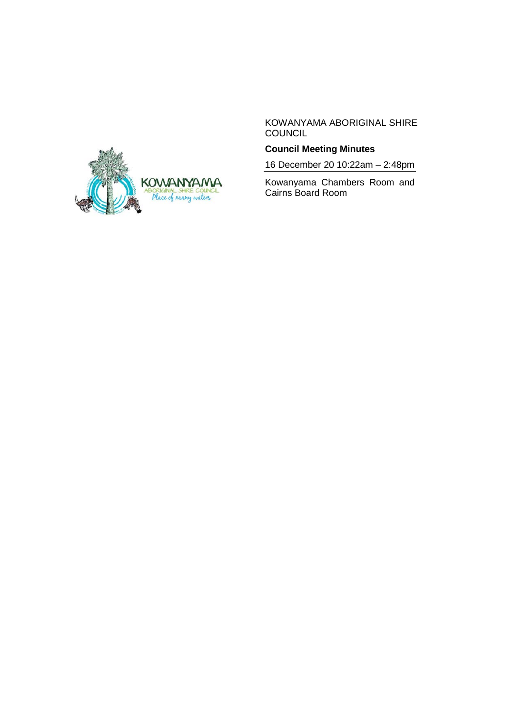

KOWANYAMA ABORIGINAL SHIRE **COUNCIL** 

# **Council Meeting Minutes**

16 December 20 10:22am – 2:48pm

Kowanyama Chambers Room and Cairns Board Room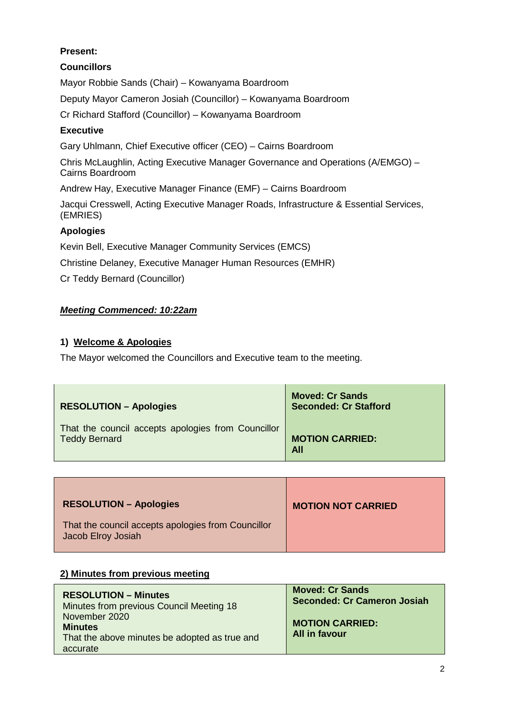## **Present:**

## **Councillors**

Mayor Robbie Sands (Chair) – Kowanyama Boardroom

Deputy Mayor Cameron Josiah (Councillor) – Kowanyama Boardroom

Cr Richard Stafford (Councillor) – Kowanyama Boardroom

## **Executive**

Gary Uhlmann, Chief Executive officer (CEO) – Cairns Boardroom

Chris McLaughlin, Acting Executive Manager Governance and Operations (A/EMGO) – Cairns Boardroom

Andrew Hay, Executive Manager Finance (EMF) – Cairns Boardroom

Jacqui Cresswell, Acting Executive Manager Roads, Infrastructure & Essential Services, (EMRIES)

## **Apologies**

Kevin Bell, Executive Manager Community Services (EMCS)

Christine Delaney, Executive Manager Human Resources (EMHR)

Cr Teddy Bernard (Councillor)

### *Meeting Commenced: 10:22am*

## **1) Welcome & Apologies**

The Mayor welcomed the Councillors and Executive team to the meeting.

| <b>RESOLUTION - Apologies</b>                      | <b>Moved: Cr Sands</b><br><b>Seconded: Cr Stafford</b> |
|----------------------------------------------------|--------------------------------------------------------|
| That the council accepts apologies from Councillor | <b>MOTION CARRIED:</b>                                 |
| <b>Teddy Bernard</b>                               | <b>All</b>                                             |

| <b>RESOLUTION - Apologies</b>                                            | <b>MOTION NOT CARRIED</b> |
|--------------------------------------------------------------------------|---------------------------|
| That the council accepts apologies from Councillor<br>Jacob Elroy Josiah |                           |

### **2) Minutes from previous meeting**

| <b>RESOLUTION – Minutes</b>                                                                  | <b>Moved: Cr Sands</b>                  |
|----------------------------------------------------------------------------------------------|-----------------------------------------|
| Minutes from previous Council Meeting 18                                                     | <b>Seconded: Cr Cameron Josiah</b>      |
| November 2020<br><b>Minutes</b><br>That the above minutes be adopted as true and<br>accurate | <b>MOTION CARRIED:</b><br>All in favour |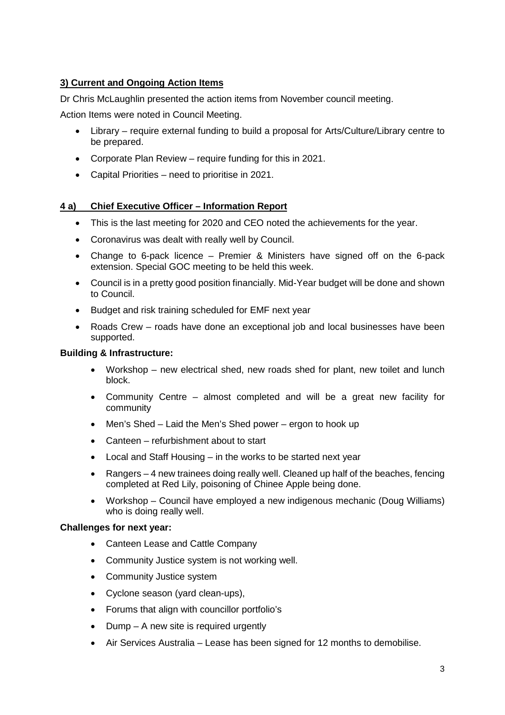## **3) Current and Ongoing Action Items**

Dr Chris McLaughlin presented the action items from November council meeting.

Action Items were noted in Council Meeting.

- Library require external funding to build a proposal for Arts/Culture/Library centre to be prepared.
- Corporate Plan Review require funding for this in 2021.
- Capital Priorities need to prioritise in 2021.

## **4 a) Chief Executive Officer – Information Report**

- This is the last meeting for 2020 and CEO noted the achievements for the year.
- Coronavirus was dealt with really well by Council.
- Change to 6-pack licence Premier & Ministers have signed off on the 6-pack extension. Special GOC meeting to be held this week.
- Council is in a pretty good position financially. Mid-Year budget will be done and shown to Council.
- Budget and risk training scheduled for EMF next year
- Roads Crew roads have done an exceptional job and local businesses have been supported.

### **Building & Infrastructure:**

- Workshop new electrical shed, new roads shed for plant, new toilet and lunch block.
- Community Centre almost completed and will be a great new facility for community
- Men's Shed Laid the Men's Shed power ergon to hook up
- Canteen refurbishment about to start
- Local and Staff Housing in the works to be started next year
- Rangers 4 new trainees doing really well. Cleaned up half of the beaches, fencing completed at Red Lily, poisoning of Chinee Apple being done.
- Workshop Council have employed a new indigenous mechanic (Doug Williams) who is doing really well.

### **Challenges for next year:**

- Canteen Lease and Cattle Company
- Community Justice system is not working well.
- Community Justice system
- Cyclone season (yard clean-ups),
- Forums that align with councillor portfolio's
- Dump A new site is required urgently
- Air Services Australia Lease has been signed for 12 months to demobilise.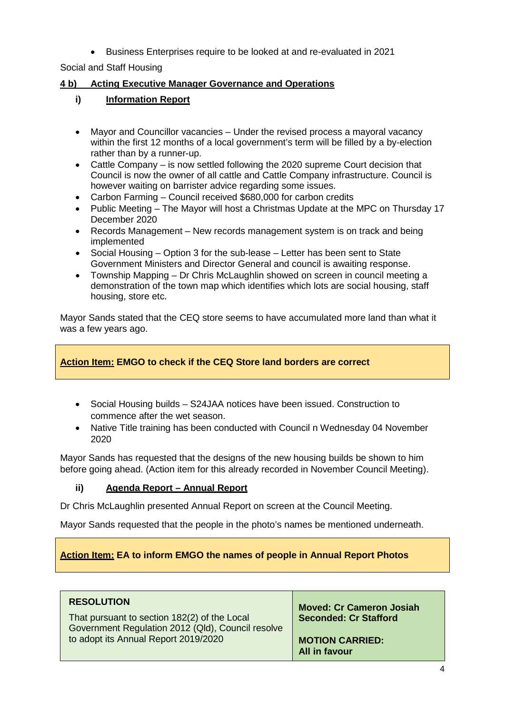• Business Enterprises require to be looked at and re-evaluated in 2021

Social and Staff Housing

## **4 b) Acting Executive Manager Governance and Operations**

## **i) Information Report**

- Mayor and Councillor vacancies Under the revised process a mayoral vacancy within the first 12 months of a local government's term will be filled by a by-election rather than by a runner-up.
- Cattle Company is now settled following the 2020 supreme Court decision that Council is now the owner of all cattle and Cattle Company infrastructure. Council is however waiting on barrister advice regarding some issues.
- Carbon Farming Council received \$680,000 for carbon credits
- Public Meeting The Mayor will host a Christmas Update at the MPC on Thursday 17 December 2020
- Records Management New records management system is on track and being implemented
- Social Housing Option 3 for the sub-lease Letter has been sent to State Government Ministers and Director General and council is awaiting response.
- Township Mapping Dr Chris McLaughlin showed on screen in council meeting a demonstration of the town map which identifies which lots are social housing, staff housing, store etc.

Mayor Sands stated that the CEQ store seems to have accumulated more land than what it was a few years ago.

## **Action Item: EMGO to check if the CEQ Store land borders are correct**

- Social Housing builds S24JAA notices have been issued. Construction to commence after the wet season.
- Native Title training has been conducted with Council n Wednesday 04 November 2020

Mayor Sands has requested that the designs of the new housing builds be shown to him before going ahead. (Action item for this already recorded in November Council Meeting).

## **ii) Agenda Report – Annual Report**

Dr Chris McLaughlin presented Annual Report on screen at the Council Meeting.

Mayor Sands requested that the people in the photo's names be mentioned underneath.

## **Action Item: EA to inform EMGO the names of people in Annual Report Photos**

## **RESOLUTION**

That pursuant to section 182(2) of the Local Government Regulation 2012 (Qld), Council resolve to adopt its Annual Report 2019/2020

**Moved: Cr Cameron Josiah Seconded: Cr Stafford**

**MOTION CARRIED: All in favour**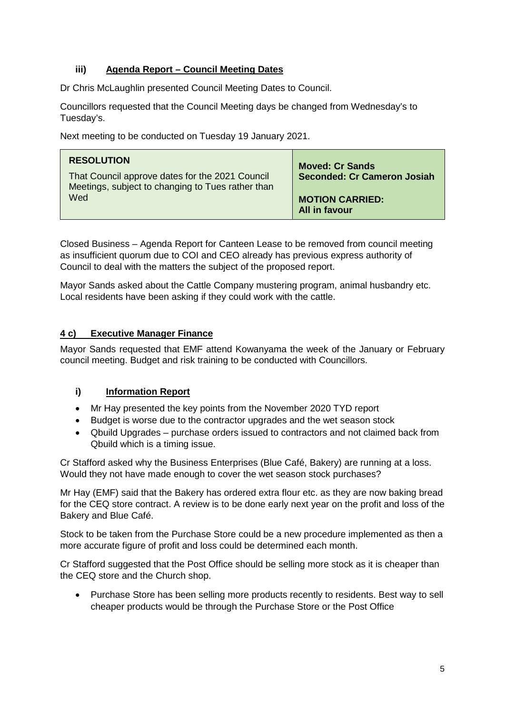## **iii) Agenda Report – Council Meeting Dates**

Dr Chris McLaughlin presented Council Meeting Dates to Council.

Councillors requested that the Council Meeting days be changed from Wednesday's to Tuesday's.

Next meeting to be conducted on Tuesday 19 January 2021.

| <b>RESOLUTION</b><br>That Council approve dates for the 2021 Council<br>Meetings, subject to changing to Tues rather than | <b>Moved: Cr Sands</b><br><b>Seconded: Cr Cameron Josiah</b> |
|---------------------------------------------------------------------------------------------------------------------------|--------------------------------------------------------------|
| Wed                                                                                                                       | <b>MOTION CARRIED:</b><br><b>All in favour</b>               |

Closed Business – Agenda Report for Canteen Lease to be removed from council meeting as insufficient quorum due to COI and CEO already has previous express authority of Council to deal with the matters the subject of the proposed report.

Mayor Sands asked about the Cattle Company mustering program, animal husbandry etc. Local residents have been asking if they could work with the cattle.

## **4 c) Executive Manager Finance**

Mayor Sands requested that EMF attend Kowanyama the week of the January or February council meeting. Budget and risk training to be conducted with Councillors.

## **i) Information Report**

- Mr Hay presented the key points from the November 2020 TYD report
- Budget is worse due to the contractor upgrades and the wet season stock
- Qbuild Upgrades purchase orders issued to contractors and not claimed back from Qbuild which is a timing issue.

Cr Stafford asked why the Business Enterprises (Blue Café, Bakery) are running at a loss. Would they not have made enough to cover the wet season stock purchases?

Mr Hay (EMF) said that the Bakery has ordered extra flour etc. as they are now baking bread for the CEQ store contract. A review is to be done early next year on the profit and loss of the Bakery and Blue Café.

Stock to be taken from the Purchase Store could be a new procedure implemented as then a more accurate figure of profit and loss could be determined each month.

Cr Stafford suggested that the Post Office should be selling more stock as it is cheaper than the CEQ store and the Church shop.

• Purchase Store has been selling more products recently to residents. Best way to sell cheaper products would be through the Purchase Store or the Post Office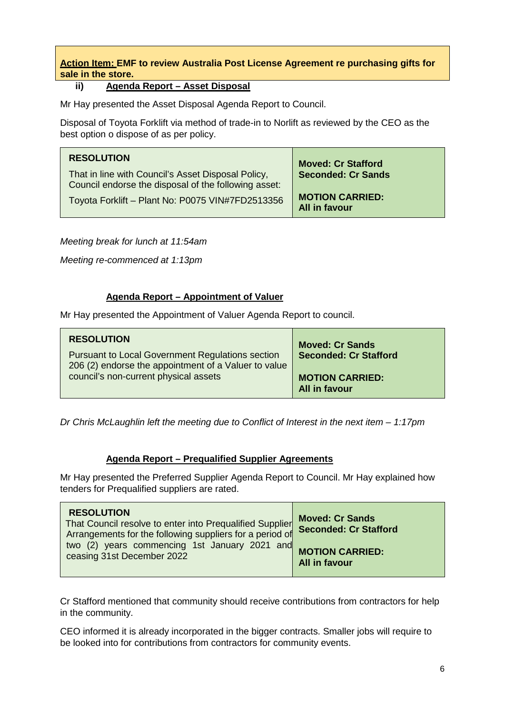**Action Item: EMF to review Australia Post License Agreement re purchasing gifts for sale in the store.** 

## **ii) Agenda Report – Asset Disposal**

Mr Hay presented the Asset Disposal Agenda Report to Council.

Disposal of Toyota Forklift via method of trade-in to Norlift as reviewed by the CEO as the best option o dispose of as per policy.

| <b>RESOLUTION</b><br>That in line with Council's Asset Disposal Policy,<br>Council endorse the disposal of the following asset: | <b>Moved: Cr Stafford</b><br><b>Seconded: Cr Sands</b> |
|---------------------------------------------------------------------------------------------------------------------------------|--------------------------------------------------------|
| Toyota Forklift - Plant No: P0075 VIN#7FD2513356                                                                                | <b>MOTION CARRIED:</b><br>All in favour                |

*Meeting break for lunch at 11:54am*

*Meeting re-commenced at 1:13pm*

### **Agenda Report – Appointment of Valuer**

Mr Hay presented the Appointment of Valuer Agenda Report to council.

| <b>RESOLUTION</b>                                                                                               | <b>Moved: Cr Sands</b>                         |
|-----------------------------------------------------------------------------------------------------------------|------------------------------------------------|
| <b>Pursuant to Local Government Regulations section</b><br>206 (2) endorse the appointment of a Valuer to value | <b>Seconded: Cr Stafford</b>                   |
| council's non-current physical assets                                                                           | <b>MOTION CARRIED:</b><br><b>All in favour</b> |

*Dr Chris McLaughlin left the meeting due to Conflict of Interest in the next item – 1:17pm*

### **Agenda Report – Prequalified Supplier Agreements**

Mr Hay presented the Preferred Supplier Agenda Report to Council. Mr Hay explained how tenders for Prequalified suppliers are rated.

Cr Stafford mentioned that community should receive contributions from contractors for help in the community.

CEO informed it is already incorporated in the bigger contracts. Smaller jobs will require to be looked into for contributions from contractors for community events.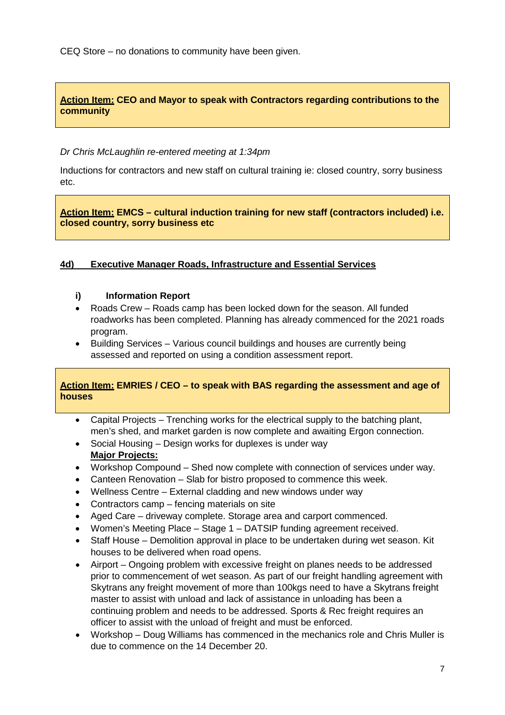CEQ Store – no donations to community have been given.

## **Action Item: CEO and Mayor to speak with Contractors regarding contributions to the community**

*Dr Chris McLaughlin re-entered meeting at 1:34pm*

Inductions for contractors and new staff on cultural training ie: closed country, sorry business etc.

**Action Item: EMCS – cultural induction training for new staff (contractors included) i.e. closed country, sorry business etc**

### **4d) Executive Manager Roads, Infrastructure and Essential Services**

#### **i) Information Report**

- Roads Crew Roads camp has been locked down for the season. All funded roadworks has been completed. Planning has already commenced for the 2021 roads program.
- Building Services Various council buildings and houses are currently being assessed and reported on using a condition assessment report.

### **Action Item: EMRIES / CEO – to speak with BAS regarding the assessment and age of houses**

- Capital Projects Trenching works for the electrical supply to the batching plant, men's shed, and market garden is now complete and awaiting Ergon connection.
- Social Housing Design works for duplexes is under way **Major Projects:**
- Workshop Compound Shed now complete with connection of services under way.
- Canteen Renovation Slab for bistro proposed to commence this week.
- Wellness Centre External cladding and new windows under way
- Contractors camp fencing materials on site
- Aged Care driveway complete. Storage area and carport commenced.
- Women's Meeting Place Stage 1 DATSIP funding agreement received.
- Staff House Demolition approval in place to be undertaken during wet season. Kit houses to be delivered when road opens.
- Airport Ongoing problem with excessive freight on planes needs to be addressed prior to commencement of wet season. As part of our freight handling agreement with Skytrans any freight movement of more than 100kgs need to have a Skytrans freight master to assist with unload and lack of assistance in unloading has been a continuing problem and needs to be addressed. Sports & Rec freight requires an officer to assist with the unload of freight and must be enforced.
- Workshop Doug Williams has commenced in the mechanics role and Chris Muller is due to commence on the 14 December 20.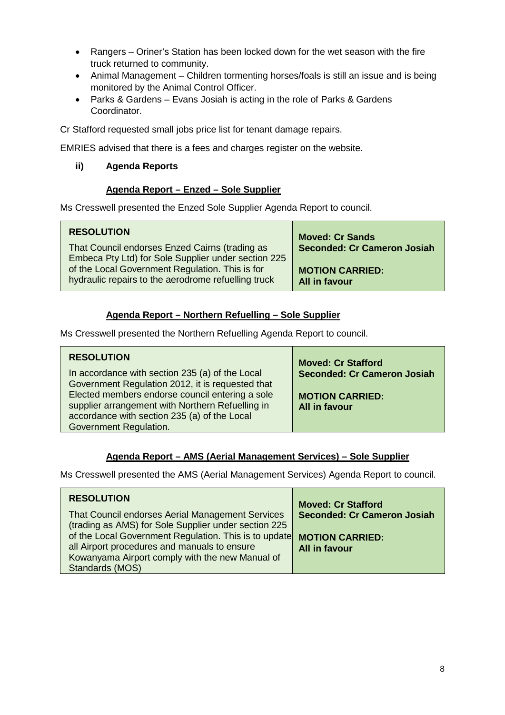- Rangers Oriner's Station has been locked down for the wet season with the fire truck returned to community.
- Animal Management Children tormenting horses/foals is still an issue and is being monitored by the Animal Control Officer.
- Parks & Gardens Evans Josiah is acting in the role of Parks & Gardens Coordinator.

Cr Stafford requested small jobs price list for tenant damage repairs.

EMRIES advised that there is a fees and charges register on the website.

## **ii) Agenda Reports**

### **Agenda Report – Enzed – Sole Supplier**

Ms Cresswell presented the Enzed Sole Supplier Agenda Report to council.

| <b>RESOLUTION</b>                                                                                      | <b>Moved: Cr Sands</b>                         |
|--------------------------------------------------------------------------------------------------------|------------------------------------------------|
| That Council endorses Enzed Cairns (trading as<br>Embeca Pty Ltd) for Sole Supplier under section 225  | <b>Seconded: Cr Cameron Josiah</b>             |
| of the Local Government Regulation. This is for<br>hydraulic repairs to the aerodrome refuelling truck | <b>MOTION CARRIED:</b><br><b>All in favour</b> |

## **Agenda Report – Northern Refuelling – Sole Supplier**

Ms Cresswell presented the Northern Refuelling Agenda Report to council.

| <b>RESOLUTION</b>                                | <b>Moved: Cr Stafford</b>          |
|--------------------------------------------------|------------------------------------|
| In accordance with section 235 (a) of the Local  | <b>Seconded: Cr Cameron Josiah</b> |
| Government Regulation 2012, it is requested that |                                    |
| Elected members endorse council entering a sole  | <b>MOTION CARRIED:</b>             |
| supplier arrangement with Northern Refuelling in | <b>All in favour</b>               |
| accordance with section 235 (a) of the Local     |                                    |
| Government Regulation.                           |                                    |

## **Agenda Report – AMS (Aerial Management Services) – Sole Supplier**

Ms Cresswell presented the AMS (Aerial Management Services) Agenda Report to council.

| <b>RESOLUTION</b>                                     | <b>Moved: Cr Stafford</b>          |
|-------------------------------------------------------|------------------------------------|
| That Council endorses Aerial Management Services      | <b>Seconded: Cr Cameron Josiah</b> |
| (trading as AMS) for Sole Supplier under section 225  |                                    |
| of the Local Government Regulation. This is to update | <b>MOTION CARRIED:</b>             |
| all Airport procedures and manuals to ensure          | <b>All in favour</b>               |
| Kowanyama Airport comply with the new Manual of       |                                    |
| Standards (MOS)                                       |                                    |